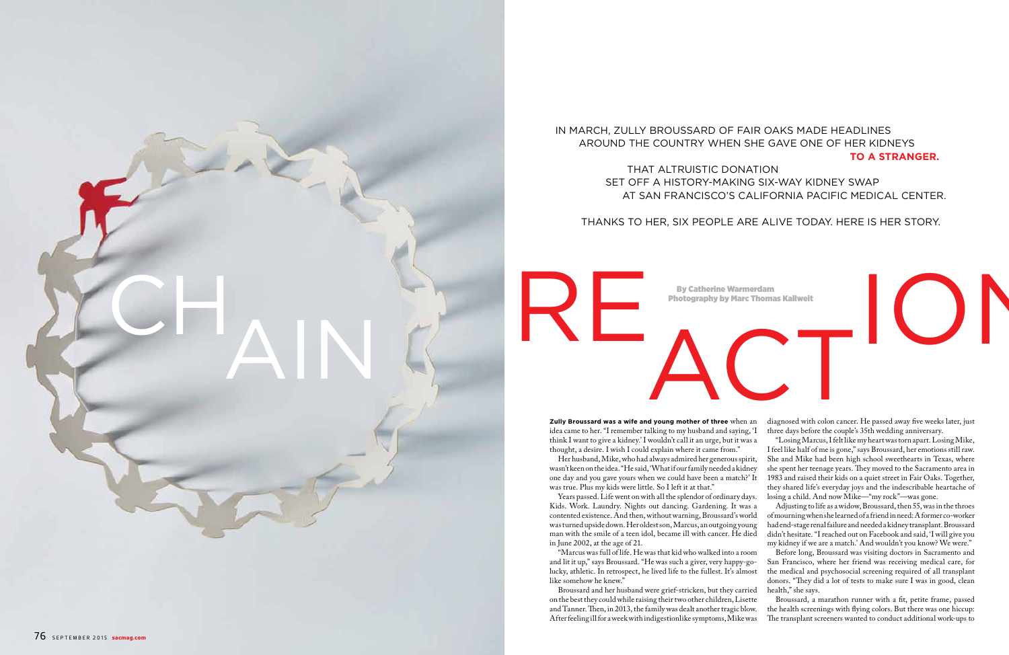THANKS TO HER, SIX PEOPLE ARE ALIVE TODAY. HERE IS HER STORY.

on the best they could while raising their two other children, Lisette and Tanner. Then, in 2013, the family was dealt another tragic blow. After feeling ill for a week with indigestionlike symptoms, Mike was Broussard, a marathon runner with a fit, petite frame, passed the health screenings with flying colors. But there was one hiccup: The transplant screeners wanted to conduct additional work-ups to

**Zully Broussard was a wife and young mother of three** when an idea came to her. "I remember talking to my husband and saying, 'I think I want to give a kidney.' I wouldn't call it an urge, but it was a Her husband, Mike, who had always admired her generous spirit, diagnosed with colon cancer. He passed away five weeks later, just three days before the couple's 35th wedding anniversary. "Losing Marcus, I felt like my heart was torn apart. Losing Mike, I feel like half of me is gone," says Broussard, her emotions still raw. She and Mike had been high school sweethearts in Texas, where she spent her teenage years. They moved to the Sacramento area in 1983 and raised their kids on a quiet street in Fair Oaks. Together,

thought, a desire. I wish I could explain where it came from." wasn't keen on the idea. "He said, 'What if our family needed a kidney one day and you gave yours when we could have been a match?' It was true. Plus my kids were little. So I left it at that." they shared life's everyday joys and the indescribable heartache of



Years passed. Life went on with all the splendor of ordinary days. Kids. Work. Laundry. Nights out dancing. Gardening. It was a contented existence. And then, without warning, Broussard's world was turned upside down. Her oldest son, Marcus, an outgoing young man with the smile of a teen idol, became ill with cancer. He died in June 2002, at the age of 21. losing a child. And now Mike—"my rock"—was gone. Adjusting to life as a widow, Broussard, then 55, was in the throes of mourning when she learned of a friend in need: A former co-worker had end-stage renal failure and needed a kidney transplant. Broussard didn't hesitate. "I reached out on Facebook and said, 'I will give you my kidney if we are a match.' And wouldn't you know? We were."

"Marcus was full of life. He was that kid who walked into a room and lit it up," says Broussard. "He was such a giver, very happy-golucky, athletic. In retrospect, he lived life to the fullest. It's almost like somehow he knew." Broussard and her husband were grief-stricken, but they carried Before long, Broussard was visiting doctors in Sacramento and San Francisco, where her friend was receiving medical care, for the medical and psychosocial screening required of all transplant donors. "They did a lot of tests to make sure I was in good, clean health," she says.



## IN MARCH, ZULLY BROUSSARD OF FAIR OAKS MADE HEADLINES AROUND THE COUNTRY WHEN SHE GAVE ONE OF HER KIDNEYS **TO A STRANGER.**

## THAT ALTRUISTIC DONATION SET OFF A HISTORY-MAKING SIX-WAY KIDNEY SWAP AT SAN FRANCISCO'S CALIFORNIA PACIFIC MEDICAL CENTER.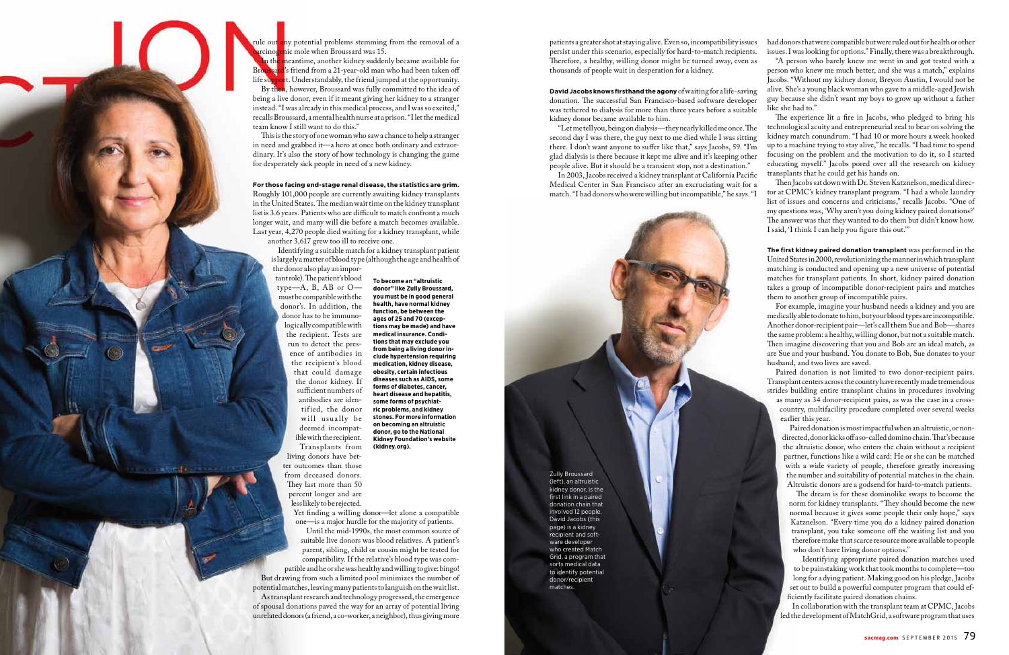rule out any potential problems stemming from the removal of a

rcino<mark>ge</mark>nic mole when Broussard was 15.<br>In the meantime, another kidney sudden meantime, another kidney suddenly became available for rd's friend from a 21-year-old man who had been taken off life support. Understandably, the friend jumped at the opportunity. By then, however, Broussard was fully committed to the idea of being a live donor, even if it meant giving her kidney to a stranger instead. "I was already in this medical process, and I was so excited," recalls Broussard, a mental health nurse at a prison. "I let the medical team know I still want to do this."

This is the story of one woman who saw a chance to help a stranger in need and grabbed it—a hero at once both ordinary and extraordinary. It's also the story of how technology is changing the game for desperately sick people in need of a new kidney.

## **For those facing end-stage renal disease, the statistics are grim.**

tant role). The patient's blood type—A,  $\overline{B}$ ,  $\overline{AB}$  or  $\overline{O}$  must be compatible with the donor's. In addition, the donor has to be immunologically compatible with the recipient. Tests are run to detect the presence of antibodies in the recipient's blood that could damage the donor kidney. If sufficient numbers of antibodies are identified, the donor will usually be deemed incompatible with the recipient. Transplants from living donors have better outcomes than those from deceased donors. They last more than 50 percent longer and are less likely to be rejected.

Yet finding a willing donor—let alone a compatible one—is a major hurdle for the majority of patients.

Roughly 101,000 people are currently awaiting kidney transplants in the United States. The median wait time on the kidney transplant list is 3.6 years. Patients who are difficult to match confront a much longer wait, and many will die before a match becomes available. Last year, 4,270 people died waiting for a kidney transplant, while another 3,617 grew too ill to receive one.

Identifying a suitable match for a kidney transplant patient is largely a matter of blood type (although the age and health of the donor also play an impor-

In 2003, Jacobs received a kidney transplant at California Pacific Medical Center in San Francisco after an excruciating wait for a match. "I had donors who were willing but incompatible," he says. "I

Until the mid-1990s, the most common source of suitable live donors was blood relatives. A patient's parent, sibling, child or cousin might be tested for compatibility. If the relative's blood type was compatible and he or she was healthy and willing to give: bingo! But drawing from such a limited pool minimizes the number of potential matches, leaving many patients to languish on the wait list. As transplant research and technology progressed, the emergence of spousal donations paved the way for an array of potential living unrelated donors (a friend, a co-worker, a neighbor), thus giving more

**To become an "altruistic donor" like Zully Broussard, you must be in good general health, have normal kidney function, be between the ages of 25 and 70 (exceptions may be made) and have medical insurance. Conditions that may exclude you from being a living donor include hypertension requiring medication, kidney disease, obesity, certain infectious diseases such as AIDS, some forms of diabetes, cancer, heart disease and hepatitis, some forms of psychiatric problems, and kidney stones. For more information on becoming an altruistic donor, go to the National Kidney Foundation's website (kidney.org).**

**David Jacobs knows firsthand the agony** of waiting for a life-saving donation. The successful San Francisco-based software developer was tethered to dialysis for more than three years before a suitable

> The dream is for these dominolike swaps to become the norm for kidney transplants. "They should become the new normal because it gives some people their only hope," says Katznelson. "Every time you do a kidney paired donation transplant, you take someone off the waiting list and you therefore make that scarce resource more available to people who don't have living donor options."

> Identifying appropriate paired donation matches used to be painstaking work that took months to complete—too long for a dying patient. Making good on his pledge, Jacobs set out to build a powerful computer program that could ef ficiently facilitate paired donation chains.

patients a greater shot at staying alive. Even so, incompatibility issues persist under this scenario, especially for hard-to-match recipients. Therefore, a healthy, willing donor might be turned away, even as thousands of people wait in desperation for a kidney. had donors that were compatible but were ruled out for health or other issues. I was looking for options." Finally, there was a breakthrough. "A person who barely knew me went in and got tested with a

kidney donor became available to him. "Let me tell you, being on dialysis—they nearly killed me once. The second day I was there, the guy next to me died while I was sitting there. I don't want anyone to suffer like that," says Jacobs, 59. "I'm glad dialysis is there because it kept me alive and it's keeping other people alive. But it should be a transient stop, not a destination." The experience lit a fire in Jacobs, who pledged to bring his technological acuity and entrepreneurial zeal to bear on solving the kidney match conundrum. "I had 10 or more hours a week hooked up to a machine trying to stay alive," he recalls. "I had time to spend focusing on the problem and the motivation to do it, so I started educating myself." Jacobs pored over all the research on kidney transplants that he could get his hands on.

person who knew me much better, and she was a match," explains Jacobs. "Without my kidney donor, Breyon Austin, I would not be alive. She's a young black woman who gave to a middle-aged Jewish guy because she didn't want my boys to grow up without a father like she had to."

Then Jacobs sat down with Dr. Steven Katznelson, medical director at CPMC's kidney transplant program. "I had a whole laundry list of issues and concerns and criticisms," recalls Jacobs. "One of my questions was, 'Why aren't you doing kidney paired donations?' The answer was that they wanted to do them but didn't know how. I said, 'I think I can help you figure this out."

**The first kidney paired donation transplant** was performed in the United States in 2000, revolutionizing the manner in which transplant matching is conducted and opening up a new universe of potential matches for transplant patients. In short, kidney paired donation takes a group of incompatible donor-recipient pairs and matches them to another group of incompatible pairs.

For example, imagine your husband needs a kidney and you are medically able to donate to him, but your blood types are incompatible. Another donor-recipient pair—let's call them Sue and Bob—shares the same problem: a healthy, willing donor, but not a suitable match. Then imagine discovering that you and Bob are an ideal match, as are Sue and your husband. You donate to Bob, Sue donates to your husband, and two lives are saved.

Paired donation is not limited to two donor-recipient pairs. Transplant centers across the country have recently made tremendous strides building entire transplant chains in procedures involving

as many as 34 donor-recipient pairs, as was the case in a crosscountry, multifacility procedure completed over several weeks earlier this year.

Paired donation is most impactful when an altruistic, or nondirected, donor kicks off a so-called domino chain. That's because the altruistic donor, who enters the chain without a recipient partner, functions like a wild card: He or she can be matched with a wide variety of people, therefore greatly increasing the number and suitability of potential matches in the chain. Altruistic donors are a godsend for hard-to-match patients.

In collaboration with the transplant team at CPMC, Jacobs led the development of MatchGrid, a software program that uses